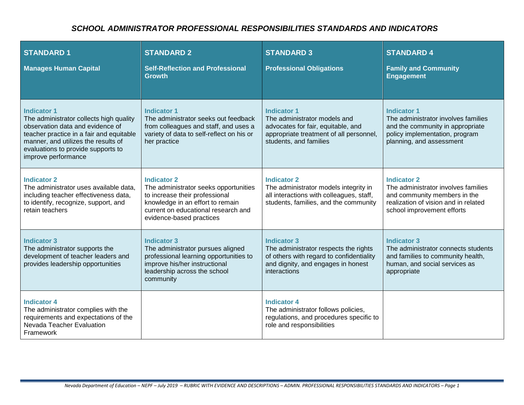## *SCHOOL ADMINISTRATOR PROFESSIONAL RESPONSIBILITIES STANDARDS AND INDICATORS*

| <b>STANDARD1</b><br><b>Manages Human Capital</b>                                                                                                                                                                                                  | <b>STANDARD 2</b><br><b>Self-Reflection and Professional</b><br><b>Growth</b>                                                                                                                        | <b>STANDARD 3</b><br><b>Professional Obligations</b>                                                                                                          | <b>STANDARD 4</b><br><b>Family and Community</b><br><b>Engagement</b>                                                                                           |
|---------------------------------------------------------------------------------------------------------------------------------------------------------------------------------------------------------------------------------------------------|------------------------------------------------------------------------------------------------------------------------------------------------------------------------------------------------------|---------------------------------------------------------------------------------------------------------------------------------------------------------------|-----------------------------------------------------------------------------------------------------------------------------------------------------------------|
| <b>Indicator 1</b><br>The administrator collects high quality<br>observation data and evidence of<br>teacher practice in a fair and equitable<br>manner, and utilizes the results of<br>evaluations to provide supports to<br>improve performance | <b>Indicator 1</b><br>The administrator seeks out feedback<br>from colleagues and staff, and uses a<br>variety of data to self-reflect on his or<br>her practice                                     | <b>Indicator 1</b><br>The administrator models and<br>advocates for fair, equitable, and<br>appropriate treatment of all personnel,<br>students, and families | <b>Indicator 1</b><br>The administrator involves families<br>and the community in appropriate<br>policy implementation, program<br>planning, and assessment     |
| <b>Indicator 2</b><br>The administrator uses available data.<br>including teacher effectiveness data,<br>to identify, recognize, support, and<br>retain teachers                                                                                  | <b>Indicator 2</b><br>The administrator seeks opportunities<br>to increase their professional<br>knowledge in an effort to remain<br>current on educational research and<br>evidence-based practices | <b>Indicator 2</b><br>The administrator models integrity in<br>all interactions with colleagues, staff,<br>students, families, and the community              | <b>Indicator 2</b><br>The administrator involves families<br>and community members in the<br>realization of vision and in related<br>school improvement efforts |
| <b>Indicator 3</b><br>The administrator supports the<br>development of teacher leaders and<br>provides leadership opportunities                                                                                                                   | <b>Indicator 3</b><br>The administrator pursues aligned<br>professional learning opportunities to<br>improve his/her instructional<br>leadership across the school<br>community                      | <b>Indicator 3</b><br>The administrator respects the rights<br>of others with regard to confidentiality<br>and dignity, and engages in honest<br>interactions | <b>Indicator 3</b><br>The administrator connects students<br>and families to community health,<br>human, and social services as<br>appropriate                  |
| <b>Indicator 4</b><br>The administrator complies with the<br>requirements and expectations of the<br>Nevada Teacher Evaluation<br>Framework                                                                                                       |                                                                                                                                                                                                      | <b>Indicator 4</b><br>The administrator follows policies,<br>regulations, and procedures specific to<br>role and responsibilities                             |                                                                                                                                                                 |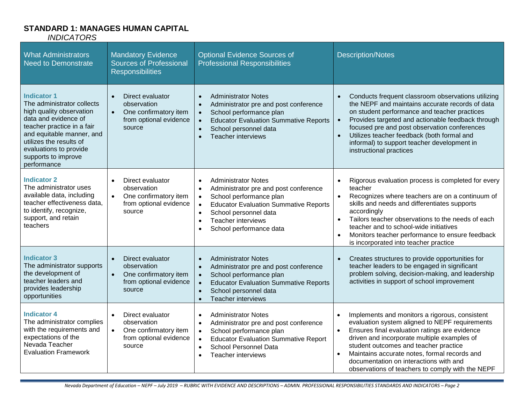#### **STANDARD 1: MANAGES HUMAN CAPITAL** *INDICATORS*

| <b>What Administrators</b><br><b>Need to Demonstrate</b>                                                                                                                                                                                                   | <b>Mandatory Evidence</b><br><b>Sources of Professional</b><br><b>Responsibilities</b>                                 | <b>Optional Evidence Sources of</b><br><b>Professional Responsibilities</b>                                                                                                                                                                                                                      | <b>Description/Notes</b>                                                                                                                                                                                                                                                                                                                                                                             |
|------------------------------------------------------------------------------------------------------------------------------------------------------------------------------------------------------------------------------------------------------------|------------------------------------------------------------------------------------------------------------------------|--------------------------------------------------------------------------------------------------------------------------------------------------------------------------------------------------------------------------------------------------------------------------------------------------|------------------------------------------------------------------------------------------------------------------------------------------------------------------------------------------------------------------------------------------------------------------------------------------------------------------------------------------------------------------------------------------------------|
| <b>Indicator 1</b><br>The administrator collects<br>high quality observation<br>data and evidence of<br>teacher practice in a fair<br>and equitable manner, and<br>utilizes the results of<br>evaluations to provide<br>supports to improve<br>performance | Direct evaluator<br>$\bullet$<br>observation<br>$\bullet$<br>One confirmatory item<br>from optional evidence<br>source | <b>Administrator Notes</b><br>Administrator pre and post conference<br>$\bullet$<br>School performance plan<br><b>Educator Evaluation Summative Reports</b><br>School personnel data<br><b>Teacher interviews</b><br>$\bullet$                                                                   | Conducts frequent classroom observations utilizing<br>the NEPF and maintains accurate records of data<br>on student performance and teacher practices<br>Provides targeted and actionable feedback through<br>focused pre and post observation conferences<br>Utilizes teacher feedback (both formal and<br>informal) to support teacher development in<br>instructional practices                   |
| <b>Indicator 2</b><br>The administrator uses<br>available data, including<br>teacher effectiveness data,<br>to identify, recognize,<br>support, and retain<br>teachers                                                                                     | Direct evaluator<br>observation<br>One confirmatory item<br>$\bullet$<br>from optional evidence<br>source              | <b>Administrator Notes</b><br>$\bullet$<br>Administrator pre and post conference<br>$\bullet$<br>School performance plan<br>$\bullet$<br><b>Educator Evaluation Summative Reports</b><br>School personnel data<br>$\bullet$<br><b>Teacher interviews</b><br>$\bullet$<br>School performance data | Rigorous evaluation process is completed for every<br>$\bullet$<br>teacher<br>Recognizes where teachers are on a continuum of<br>$\bullet$<br>skills and needs and differentiates supports<br>accordingly<br>Tailors teacher observations to the needs of each<br>teacher and to school-wide initiatives<br>Monitors teacher performance to ensure feedback<br>is incorporated into teacher practice |
| <b>Indicator 3</b><br>The administrator supports<br>the development of<br>teacher leaders and<br>provides leadership<br>opportunities                                                                                                                      | Direct evaluator<br>$\bullet$<br>observation<br>One confirmatory item<br>$\bullet$<br>from optional evidence<br>source | <b>Administrator Notes</b><br>$\bullet$<br>Administrator pre and post conference<br>$\bullet$<br>School performance plan<br><b>Educator Evaluation Summative Reports</b><br>School personnel data<br>$\bullet$<br><b>Teacher interviews</b><br>$\bullet$                                         | Creates structures to provide opportunities for<br>$\bullet$<br>teacher leaders to be engaged in significant<br>problem solving, decision-making, and leadership<br>activities in support of school improvement                                                                                                                                                                                      |
| <b>Indicator 4</b><br>The administrator complies<br>with the requirements and<br>expectations of the<br>Nevada Teacher<br><b>Evaluation Framework</b>                                                                                                      | Direct evaluator<br>$\bullet$<br>observation<br>$\bullet$<br>One confirmatory item<br>from optional evidence<br>source | <b>Administrator Notes</b><br>$\bullet$<br>Administrator pre and post conference<br>$\bullet$<br>School performance plan<br>$\bullet$<br><b>Educator Evaluation Summative Report</b><br>$\bullet$<br>School Personnel Data<br>$\epsilon$<br><b>Teacher interviews</b><br>$\bullet$               | Implements and monitors a rigorous, consistent<br>$\bullet$<br>evaluation system aligned to NEPF requirements<br>Ensures final evaluation ratings are evidence<br>$\bullet$<br>driven and incorporate multiple examples of<br>student outcomes and teacher practice<br>Maintains accurate notes, formal records and<br>documentation on interactions with and                                        |

observations of teachers to comply with the NEPF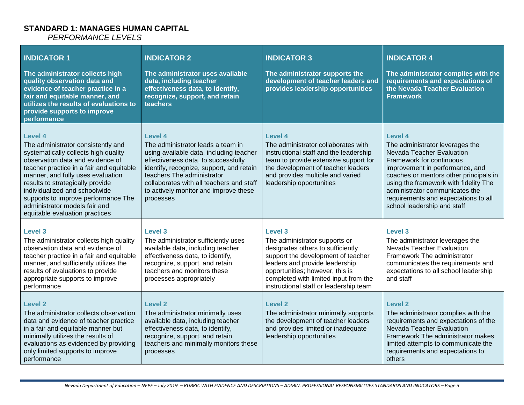# **STANDARD 1: MANAGES HUMAN CAPITAL**

*PERFORMANCE LEVELS*

| <b>INDICATOR 1</b><br>The administrator collects high<br>quality observation data and<br>evidence of teacher practice in a<br>fair and equitable manner, and<br>utilizes the results of evaluations to<br>provide supports to improve<br>performance                                                                                                                                      | <b>INDICATOR 2</b><br>The administrator uses available<br>data, including teacher<br>effectiveness data, to identify,<br>recognize, support, and retain<br>teachers                                                                                                                                               | <b>INDICATOR 3</b><br>The administrator supports the<br>development of teacher leaders and<br>provides leadership opportunities                                                                                                                                             | <b>INDICATOR 4</b><br>The administrator complies with the<br>requirements and expectations of<br>the Nevada Teacher Evaluation<br><b>Framework</b>                                                                                                                                                                                        |
|-------------------------------------------------------------------------------------------------------------------------------------------------------------------------------------------------------------------------------------------------------------------------------------------------------------------------------------------------------------------------------------------|-------------------------------------------------------------------------------------------------------------------------------------------------------------------------------------------------------------------------------------------------------------------------------------------------------------------|-----------------------------------------------------------------------------------------------------------------------------------------------------------------------------------------------------------------------------------------------------------------------------|-------------------------------------------------------------------------------------------------------------------------------------------------------------------------------------------------------------------------------------------------------------------------------------------------------------------------------------------|
| Level 4<br>The administrator consistently and<br>systematically collects high quality<br>observation data and evidence of<br>teacher practice in a fair and equitable<br>manner, and fully uses evaluation<br>results to strategically provide<br>individualized and schoolwide<br>supports to improve performance The<br>administrator models fair and<br>equitable evaluation practices | <b>Level 4</b><br>The administrator leads a team in<br>using available data, including teacher<br>effectiveness data, to successfully<br>identify, recognize, support, and retain<br>teachers The administrator<br>collaborates with all teachers and staff<br>to actively monitor and improve these<br>processes | Level 4<br>The administrator collaborates with<br>instructional staff and the leadership<br>team to provide extensive support for<br>the development of teacher leaders<br>and provides multiple and varied<br>leadership opportunities                                     | <b>Level 4</b><br>The administrator leverages the<br>Nevada Teacher Evaluation<br>Framework for continuous<br>improvement in performance, and<br>coaches or mentors other principals in<br>using the framework with fidelity The<br>administrator communicates the<br>requirements and expectations to all<br>school leadership and staff |
| Level <sub>3</sub><br>The administrator collects high quality<br>observation data and evidence of<br>teacher practice in a fair and equitable<br>manner, and sufficiently utilizes the<br>results of evaluations to provide<br>appropriate supports to improve<br>performance                                                                                                             | <b>Level 3</b><br>The administrator sufficiently uses<br>available data, including teacher<br>effectiveness data, to identify,<br>recognize, support, and retain<br>teachers and monitors these<br>processes appropriately                                                                                        | Level 3<br>The administrator supports or<br>designates others to sufficiently<br>support the development of teacher<br>leaders and provide leadership<br>opportunities; however, this is<br>completed with limited input from the<br>instructional staff or leadership team | Level <sub>3</sub><br>The administrator leverages the<br>Nevada Teacher Evaluation<br>Framework The administrator<br>communicates the requirements and<br>expectations to all school leadership<br>and staff                                                                                                                              |
| <b>Level 2</b><br>The administrator collects observation<br>data and evidence of teacher practice<br>in a fair and equitable manner but<br>minimally utilizes the results of<br>evaluations as evidenced by providing<br>only limited supports to improve<br>performance                                                                                                                  | <b>Level 2</b><br>The administrator minimally uses<br>available data, including teacher<br>effectiveness data, to identify,<br>recognize, support, and retain<br>teachers and minimally monitors these<br>processes                                                                                               | <b>Level 2</b><br>The administrator minimally supports<br>the development of teacher leaders<br>and provides limited or inadequate<br>leadership opportunities                                                                                                              | <b>Level 2</b><br>The administrator complies with the<br>requirements and expectations of the<br>Nevada Teacher Evaluation<br>Framework The administrator makes<br>limited attempts to communicate the<br>requirements and expectations to<br>others                                                                                      |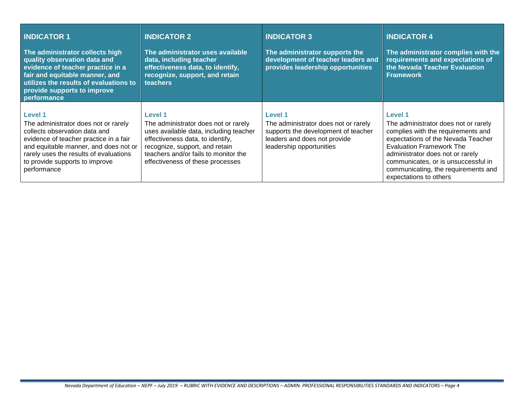| <b>INDICATOR 1</b><br>The administrator collects high<br>quality observation data and<br>evidence of teacher practice in a<br>fair and equitable manner, and<br>utilizes the results of evaluations to<br>provide supports to improve<br>performance                  | <b>INDICATOR 2</b><br>The administrator uses available<br>data, including teacher<br>effectiveness data, to identify,<br>recognize, support, and retain<br>teachers                                                                                | <b>INDICATOR 3</b><br>The administrator supports the<br>development of teacher leaders and<br>provides leadership opportunities                    | <b>INDICATOR 4</b><br>The administrator complies with the<br>requirements and expectations of<br>the Nevada Teacher Evaluation<br><b>Framework</b>                                                                                                                                                                |
|-----------------------------------------------------------------------------------------------------------------------------------------------------------------------------------------------------------------------------------------------------------------------|----------------------------------------------------------------------------------------------------------------------------------------------------------------------------------------------------------------------------------------------------|----------------------------------------------------------------------------------------------------------------------------------------------------|-------------------------------------------------------------------------------------------------------------------------------------------------------------------------------------------------------------------------------------------------------------------------------------------------------------------|
| <b>Level 1</b><br>The administrator does not or rarely<br>collects observation data and<br>evidence of teacher practice in a fair<br>and equitable manner, and does not or<br>rarely uses the results of evaluations<br>to provide supports to improve<br>performance | <b>Level 1</b><br>The administrator does not or rarely<br>uses available data, including teacher<br>effectiveness data, to identify,<br>recognize, support, and retain<br>teachers and/or fails to monitor the<br>effectiveness of these processes | Level 1<br>The administrator does not or rarely<br>supports the development of teacher<br>leaders and does not provide<br>leadership opportunities | <b>Level 1</b><br>The administrator does not or rarely<br>complies with the requirements and<br>expectations of the Nevada Teacher<br><b>Evaluation Framework The</b><br>administrator does not or rarely<br>communicates, or is unsuccessful in<br>communicating, the requirements and<br>expectations to others |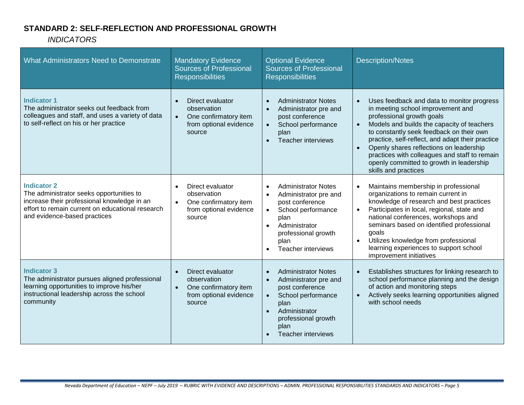## **STANDARD 2: SELF-REFLECTION AND PROFESSIONAL GROWTH**

*INDICATORS*

| What Administrators Need to Demonstrate                                                                                                                                                           | <b>Mandatory Evidence</b><br><b>Sources of Professional</b><br><b>Responsibilities</b>                    | <b>Optional Evidence</b><br><b>Sources of Professional</b><br><b>Responsibilities</b>                                                                                                                                                 | <b>Description/Notes</b>                                                                                                                                                                                                                                                                                                                                                                                                                                          |
|---------------------------------------------------------------------------------------------------------------------------------------------------------------------------------------------------|-----------------------------------------------------------------------------------------------------------|---------------------------------------------------------------------------------------------------------------------------------------------------------------------------------------------------------------------------------------|-------------------------------------------------------------------------------------------------------------------------------------------------------------------------------------------------------------------------------------------------------------------------------------------------------------------------------------------------------------------------------------------------------------------------------------------------------------------|
| <b>Indicator 1</b><br>The administrator seeks out feedback from<br>colleagues and staff, and uses a variety of data<br>to self-reflect on his or her practice                                     | Direct evaluator<br>observation<br>One confirmatory item<br>$\bullet$<br>from optional evidence<br>source | <b>Administrator Notes</b><br>$\bullet$<br>Administrator pre and<br>$\bullet$<br>post conference<br>School performance<br>$\bullet$<br>plan<br><b>Teacher interviews</b><br>$\bullet$                                                 | Uses feedback and data to monitor progress<br>$\bullet$<br>in meeting school improvement and<br>professional growth goals<br>Models and builds the capacity of teachers<br>$\bullet$<br>to constantly seek feedback on their own<br>practice, self-reflect, and adapt their practice<br>Openly shares reflections on leadership<br>$\bullet$<br>practices with colleagues and staff to remain<br>openly committed to growth in leadership<br>skills and practices |
| <b>Indicator 2</b><br>The administrator seeks opportunities to<br>increase their professional knowledge in an<br>effort to remain current on educational research<br>and evidence-based practices | Direct evaluator<br>observation<br>One confirmatory item<br>$\bullet$<br>from optional evidence<br>source | <b>Administrator Notes</b><br>$\bullet$<br>Administrator pre and<br>post conference<br>School performance<br>$\bullet$<br>plan<br>Administrator<br>$\bullet$<br>professional growth<br>plan<br>Teacher interviews                     | Maintains membership in professional<br>$\bullet$<br>organizations to remain current in<br>knowledge of research and best practices<br>Participates in local, regional, state and<br>$\bullet$<br>national conferences, workshops and<br>seminars based on identified professional<br>goals<br>Utilizes knowledge from professional<br>$\bullet$<br>learning experiences to support school<br>improvement initiatives                                             |
| <b>Indicator 3</b><br>The administrator pursues aligned professional<br>learning opportunities to improve his/her<br>instructional leadership across the school<br>community                      | Direct evaluator<br>observation<br>One confirmatory item<br>from optional evidence<br>source              | <b>Administrator Notes</b><br>$\bullet$<br>Administrator pre and<br>$\bullet$<br>post conference<br>School performance<br>$\bullet$<br>plan<br>Administrator<br>$\bullet$<br>professional growth<br>plan<br><b>Teacher interviews</b> | Establishes structures for linking research to<br>$\bullet$<br>school performance planning and the design<br>of action and monitoring steps<br>Actively seeks learning opportunities aligned<br>$\bullet$<br>with school needs                                                                                                                                                                                                                                    |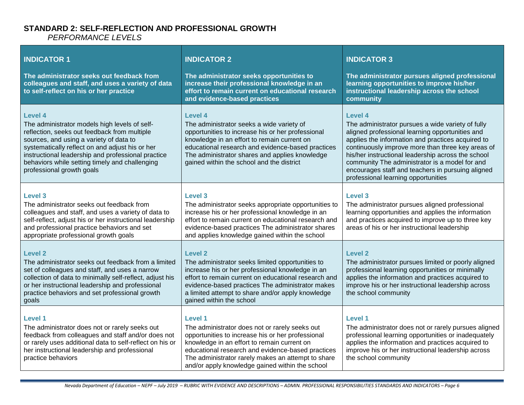#### **STANDARD 2: SELF-REFLECTION AND PROFESSIONAL GROWTH** *PERFORMANCE LEVELS*

| <b>INDICATOR 1</b><br>The administrator seeks out feedback from<br>colleagues and staff, and uses a variety of data<br>to self-reflect on his or her practice                                                                                                                                                                               | <b>INDICATOR 2</b><br>The administrator seeks opportunities to<br>increase their professional knowledge in an<br>effort to remain current on educational research<br>and evidence-based practices                                                                                                                           | <b>INDICATOR 3</b><br>The administrator pursues aligned professional<br>learning opportunities to improve his/her<br>instructional leadership across the school<br>community                                                                                                                                                                                                                                                         |
|---------------------------------------------------------------------------------------------------------------------------------------------------------------------------------------------------------------------------------------------------------------------------------------------------------------------------------------------|-----------------------------------------------------------------------------------------------------------------------------------------------------------------------------------------------------------------------------------------------------------------------------------------------------------------------------|--------------------------------------------------------------------------------------------------------------------------------------------------------------------------------------------------------------------------------------------------------------------------------------------------------------------------------------------------------------------------------------------------------------------------------------|
| Level 4<br>The administrator models high levels of self-<br>reflection, seeks out feedback from multiple<br>sources, and using a variety of data to<br>systematically reflect on and adjust his or her<br>instructional leadership and professional practice<br>behaviors while setting timely and challenging<br>professional growth goals | Level 4<br>The administrator seeks a wide variety of<br>opportunities to increase his or her professional<br>knowledge in an effort to remain current on<br>educational research and evidence-based practices<br>The administrator shares and applies knowledge<br>gained within the school and the district                | <b>Level 4</b><br>The administrator pursues a wide variety of fully<br>aligned professional learning opportunities and<br>applies the information and practices acquired to<br>continuously improve more than three key areas of<br>his/her instructional leadership across the school<br>community The administrator is a model for and<br>encourages staff and teachers in pursuing aligned<br>professional learning opportunities |
| Level 3<br>The administrator seeks out feedback from<br>colleagues and staff, and uses a variety of data to<br>self-reflect, adjust his or her instructional leadership<br>and professional practice behaviors and set<br>appropriate professional growth goals                                                                             | Level 3<br>The administrator seeks appropriate opportunities to<br>increase his or her professional knowledge in an<br>effort to remain current on educational research and<br>evidence-based practices The administrator shares<br>and applies knowledge gained within the school                                          | Level 3<br>The administrator pursues aligned professional<br>learning opportunities and applies the information<br>and practices acquired to improve up to three key<br>areas of his or her instructional leadership                                                                                                                                                                                                                 |
| Level 2<br>The administrator seeks out feedback from a limited<br>set of colleagues and staff, and uses a narrow<br>collection of data to minimally self-reflect, adjust his<br>or her instructional leadership and professional<br>practice behaviors and set professional growth<br>goals                                                 | Level 2<br>The administrator seeks limited opportunities to<br>increase his or her professional knowledge in an<br>effort to remain current on educational research and<br>evidence-based practices The administrator makes<br>a limited attempt to share and/or apply knowledge<br>gained within the school                | Level 2<br>The administrator pursues limited or poorly aligned<br>professional learning opportunities or minimally<br>applies the information and practices acquired to<br>improve his or her instructional leadership across<br>the school community                                                                                                                                                                                |
| <b>Level 1</b><br>The administrator does not or rarely seeks out<br>feedback from colleagues and staff and/or does not<br>or rarely uses additional data to self-reflect on his or<br>her instructional leadership and professional<br>practice behaviors                                                                                   | Level 1<br>The administrator does not or rarely seeks out<br>opportunities to increase his or her professional<br>knowledge in an effort to remain current on<br>educational research and evidence-based practices<br>The administrator rarely makes an attempt to share<br>and/or apply knowledge gained within the school | Level 1<br>The administrator does not or rarely pursues aligned<br>professional learning opportunities or inadequately<br>applies the information and practices acquired to<br>improve his or her instructional leadership across<br>the school community                                                                                                                                                                            |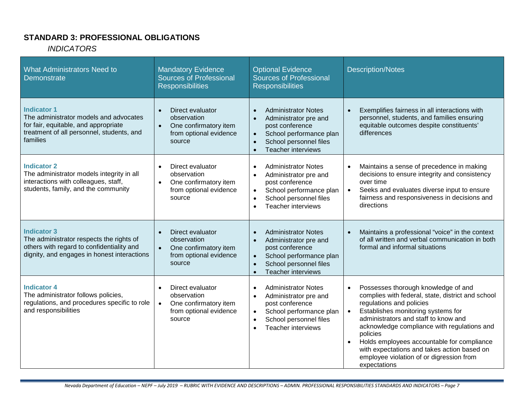## **STANDARD 3: PROFESSIONAL OBLIGATIONS**

#### *INDICATORS*

| <b>What Administrators Need to</b><br><b>Demonstrate</b>                                                                                                      | <b>Mandatory Evidence</b><br><b>Sources of Professional</b><br><b>Responsibilities</b>                                 | <b>Optional Evidence</b><br><b>Sources of Professional</b><br><b>Responsibilities</b>                                                                                                                                     | <b>Description/Notes</b>                                                                                                                                                                                                                                                                                                                                                                                                                         |
|---------------------------------------------------------------------------------------------------------------------------------------------------------------|------------------------------------------------------------------------------------------------------------------------|---------------------------------------------------------------------------------------------------------------------------------------------------------------------------------------------------------------------------|--------------------------------------------------------------------------------------------------------------------------------------------------------------------------------------------------------------------------------------------------------------------------------------------------------------------------------------------------------------------------------------------------------------------------------------------------|
| <b>Indicator 1</b><br>The administrator models and advocates<br>for fair, equitable, and appropriate<br>treatment of all personnel, students, and<br>families | Direct evaluator<br>$\bullet$<br>observation<br>One confirmatory item<br>$\bullet$<br>from optional evidence<br>source | <b>Administrator Notes</b><br>$\bullet$<br>Administrator pre and<br>$\bullet$<br>post conference<br>School performance plan<br>$\bullet$<br>School personnel files<br>$\bullet$<br><b>Teacher interviews</b><br>$\bullet$ | Exemplifies fairness in all interactions with<br>$\bullet$<br>personnel, students, and families ensuring<br>equitable outcomes despite constituents'<br>differences                                                                                                                                                                                                                                                                              |
| <b>Indicator 2</b><br>The administrator models integrity in all<br>interactions with colleagues, staff,<br>students, family, and the community                | Direct evaluator<br>$\bullet$<br>observation<br>One confirmatory item<br>$\bullet$<br>from optional evidence<br>source | <b>Administrator Notes</b><br>$\bullet$<br>Administrator pre and<br>$\bullet$<br>post conference<br>School performance plan<br>$\bullet$<br>School personnel files<br>$\bullet$<br><b>Teacher interviews</b><br>$\bullet$ | Maintains a sense of precedence in making<br>$\bullet$<br>decisions to ensure integrity and consistency<br>over time<br>Seeks and evaluates diverse input to ensure<br>fairness and responsiveness in decisions and<br>directions                                                                                                                                                                                                                |
| <b>Indicator 3</b><br>The administrator respects the rights of<br>others with regard to confidentiality and<br>dignity, and engages in honest interactions    | Direct evaluator<br>$\bullet$<br>observation<br>One confirmatory item<br>from optional evidence<br>source              | <b>Administrator Notes</b><br>$\bullet$<br>Administrator pre and<br>$\bullet$<br>post conference<br>School performance plan<br>$\bullet$<br>School personnel files<br>$\bullet$<br><b>Teacher interviews</b><br>$\bullet$ | Maintains a professional "voice" in the context<br>of all written and verbal communication in both<br>formal and informal situations                                                                                                                                                                                                                                                                                                             |
| <b>Indicator 4</b><br>The administrator follows policies,<br>regulations, and procedures specific to role<br>and responsibilities                             | Direct evaluator<br>$\bullet$<br>observation<br>One confirmatory item<br>$\bullet$<br>from optional evidence<br>source | <b>Administrator Notes</b><br>$\bullet$<br>Administrator pre and<br>$\bullet$<br>post conference<br>School performance plan<br>$\bullet$<br>School personnel files<br>$\bullet$<br>Teacher interviews<br>$\bullet$        | Possesses thorough knowledge of and<br>complies with federal, state, district and school<br>regulations and policies<br>Establishes monitoring systems for<br>$\bullet$<br>administrators and staff to know and<br>acknowledge compliance with regulations and<br>policies<br>Holds employees accountable for compliance<br>$\bullet$<br>with expectations and takes action based on<br>employee violation of or digression from<br>expectations |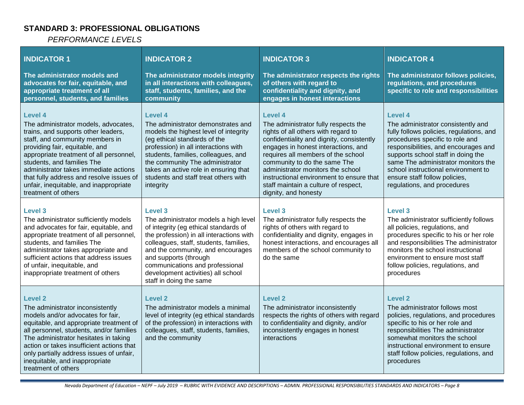## **STANDARD 3: PROFESSIONAL OBLIGATIONS**

*PERFORMANCE LEVELS*

| <b>INDICATOR 1</b><br>The administrator models and<br>advocates for fair, equitable, and<br>appropriate treatment of all<br>personnel, students, and families                                                                                                                                                                                                                                     | <b>INDICATOR 2</b><br>The administrator models integrity<br>in all interactions with colleagues,<br>staff, students, families, and the<br>community                                                                                                                                                                                                      | <b>INDICATOR 3</b><br>The administrator respects the rights<br>of others with regard to<br>confidentiality and dignity, and<br>engages in honest interactions                                                                                                                                                                                                                                     | <b>INDICATOR 4</b><br>The administrator follows policies,<br>regulations, and procedures<br>specific to role and responsibilities                                                                                                                                                                                                                        |
|---------------------------------------------------------------------------------------------------------------------------------------------------------------------------------------------------------------------------------------------------------------------------------------------------------------------------------------------------------------------------------------------------|----------------------------------------------------------------------------------------------------------------------------------------------------------------------------------------------------------------------------------------------------------------------------------------------------------------------------------------------------------|---------------------------------------------------------------------------------------------------------------------------------------------------------------------------------------------------------------------------------------------------------------------------------------------------------------------------------------------------------------------------------------------------|----------------------------------------------------------------------------------------------------------------------------------------------------------------------------------------------------------------------------------------------------------------------------------------------------------------------------------------------------------|
| <b>Level 4</b><br>The administrator models, advocates,<br>trains, and supports other leaders,<br>staff, and community members in<br>providing fair, equitable, and<br>appropriate treatment of all personnel,<br>students, and families The<br>administrator takes immediate actions<br>that fully address and resolve issues of<br>unfair, inequitable, and inappropriate<br>treatment of others | <b>Level 4</b><br>The administrator demonstrates and<br>models the highest level of integrity<br>(eg ethical standards of the<br>profession) in all interactions with<br>students, families, colleagues, and<br>the community The administrator<br>takes an active role in ensuring that<br>students and staff treat others with<br>integrity            | Level 4<br>The administrator fully respects the<br>rights of all others with regard to<br>confidentiality and dignity, consistently<br>engages in honest interactions, and<br>requires all members of the school<br>community to do the same The<br>administrator monitors the school<br>instructional environment to ensure that<br>staff maintain a culture of respect,<br>dignity, and honesty | Level 4<br>The administrator consistently and<br>fully follows policies, regulations, and<br>procedures specific to role and<br>responsibilities, and encourages and<br>supports school staff in doing the<br>same The administrator monitors the<br>school instructional environment to<br>ensure staff follow policies,<br>regulations, and procedures |
| Level 3<br>The administrator sufficiently models<br>and advocates for fair, equitable, and<br>appropriate treatment of all personnel,<br>students, and families The<br>administrator takes appropriate and<br>sufficient actions that address issues<br>of unfair, inequitable, and<br>inappropriate treatment of others                                                                          | <b>Level 3</b><br>The administrator models a high level<br>of integrity (eg ethical standards of<br>the profession) in all interactions with<br>colleagues, staff, students, families,<br>and the community, and encourages<br>and supports (through<br>communications and professional<br>development activities) all school<br>staff in doing the same | <b>Level 3</b><br>The administrator fully respects the<br>rights of others with regard to<br>confidentiality and dignity, engages in<br>honest interactions, and encourages all<br>members of the school community to<br>do the same                                                                                                                                                              | Level 3<br>The administrator sufficiently follows<br>all policies, regulations, and<br>procedures specific to his or her role<br>and responsibilities The administrator<br>monitors the school instructional<br>environment to ensure most staff<br>follow policies, regulations, and<br>procedures                                                      |
| <b>Level 2</b><br>The administrator inconsistently<br>models and/or advocates for fair,<br>equitable, and appropriate treatment of<br>all personnel, students, and/or families<br>The administrator hesitates in taking<br>action or takes insufficient actions that<br>only partially address issues of unfair,<br>inequitable, and inappropriate<br>treatment of others                         | <b>Level 2</b><br>The administrator models a minimal<br>level of integrity (eg ethical standards<br>of the profession) in interactions with<br>colleagues, staff, students, families,<br>and the community                                                                                                                                               | <b>Level 2</b><br>The administrator inconsistently<br>respects the rights of others with regard<br>to confidentiality and dignity, and/or<br>inconsistently engages in honest<br>interactions                                                                                                                                                                                                     | Level 2<br>The administrator follows most<br>policies, regulations, and procedures<br>specific to his or her role and<br>responsibilities The administrator<br>somewhat monitors the school<br>instructional environment to ensure<br>staff follow policies, regulations, and<br>procedures                                                              |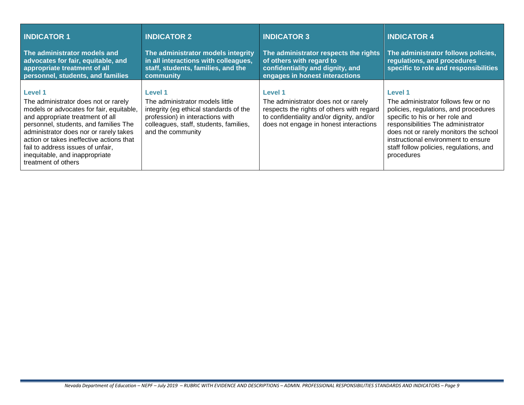| <b>INDICATOR 1</b>                                                                                                                                                                                                                                                                                                                                                  | <b>INDICATOR 2</b>                                                                                                                                                                      | <b>INDICATOR 3</b>                                                                                                                                                                         | <b>INDICATOR 4</b>                                                                                                                                                                                                                                                                                                |
|---------------------------------------------------------------------------------------------------------------------------------------------------------------------------------------------------------------------------------------------------------------------------------------------------------------------------------------------------------------------|-----------------------------------------------------------------------------------------------------------------------------------------------------------------------------------------|--------------------------------------------------------------------------------------------------------------------------------------------------------------------------------------------|-------------------------------------------------------------------------------------------------------------------------------------------------------------------------------------------------------------------------------------------------------------------------------------------------------------------|
| The administrator models and<br>advocates for fair, equitable, and<br>appropriate treatment of all<br>personnel, students, and families                                                                                                                                                                                                                             | The administrator models integrity<br>in all interactions with colleagues,<br>staff, students, families, and the<br>community                                                           | The administrator respects the rights<br>of others with regard to<br>confidentiality and dignity, and<br>engages in honest interactions                                                    | The administrator follows policies,<br>regulations, and procedures<br>specific to role and responsibilities                                                                                                                                                                                                       |
| <b>Level 1</b><br>The administrator does not or rarely<br>models or advocates for fair, equitable,<br>and appropriate treatment of all<br>personnel, students, and families The<br>administrator does nor or rarely takes<br>action or takes ineffective actions that<br>fail to address issues of unfair,<br>inequitable, and inappropriate<br>treatment of others | Level 1<br>The administrator models little<br>integrity (eg ethical standards of the<br>profession) in interactions with<br>colleagues, staff, students, families,<br>and the community | <b>Level 1</b><br>The administrator does not or rarely<br>respects the rights of others with regard<br>to confidentiality and/or dignity, and/or<br>does not engage in honest interactions | <b>Level 1</b><br>The administrator follows few or no<br>policies, regulations, and procedures<br>specific to his or her role and<br>responsibilities The administrator<br>does not or rarely monitors the school<br>instructional environment to ensure<br>staff follow policies, regulations, and<br>procedures |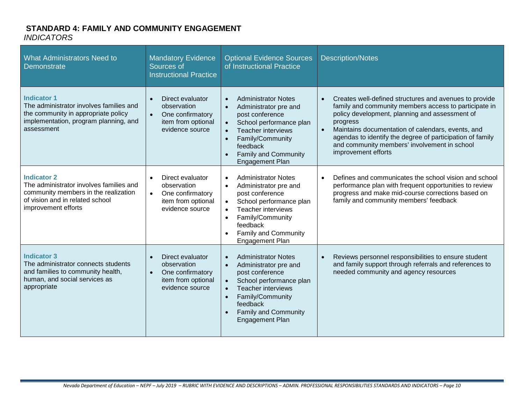#### **STANDARD 4: FAMILY AND COMMUNITY ENGAGEMENT** *INDICATORS*

| <b>What Administrators Need to</b><br>Demonstrate                                                                                                               | <b>Mandatory Evidence</b><br>Sources of<br><b>Instructional Practice</b>                                               | <b>Optional Evidence Sources</b><br>of Instructional Practice                                                                                                                                                                                                                                         | <b>Description/Notes</b>                                                                                                                                                                                                                                                                                                                                                                         |
|-----------------------------------------------------------------------------------------------------------------------------------------------------------------|------------------------------------------------------------------------------------------------------------------------|-------------------------------------------------------------------------------------------------------------------------------------------------------------------------------------------------------------------------------------------------------------------------------------------------------|--------------------------------------------------------------------------------------------------------------------------------------------------------------------------------------------------------------------------------------------------------------------------------------------------------------------------------------------------------------------------------------------------|
| <b>Indicator 1</b><br>The administrator involves families and<br>the community in appropriate policy<br>implementation, program planning, and<br>assessment     | Direct evaluator<br>$\bullet$<br>observation<br>One confirmatory<br>$\bullet$<br>item from optional<br>evidence source | <b>Administrator Notes</b><br>$\bullet$<br>Administrator pre and<br>$\bullet$<br>post conference<br>School performance plan<br>$\bullet$<br><b>Teacher interviews</b><br>$\bullet$<br>Family/Community<br>$\bullet$<br>feedback<br><b>Family and Community</b><br>$\bullet$<br><b>Engagement Plan</b> | Creates well-defined structures and avenues to provide<br>$\bullet$<br>family and community members access to participate in<br>policy development, planning and assessment of<br>progress<br>Maintains documentation of calendars, events, and<br>$\bullet$<br>agendas to identify the degree of participation of family<br>and community members' involvement in school<br>improvement efforts |
| <b>Indicator 2</b><br>The administrator involves families and<br>community members in the realization<br>of vision and in related school<br>improvement efforts | Direct evaluator<br>observation<br>One confirmatory<br>$\bullet$<br>item from optional<br>evidence source              | <b>Administrator Notes</b><br>$\bullet$<br>Administrator pre and<br>$\bullet$<br>post conference<br>School performance plan<br>$\bullet$<br><b>Teacher interviews</b><br>$\bullet$<br>Family/Community<br>$\bullet$<br>feedback<br><b>Family and Community</b><br><b>Engagement Plan</b>              | Defines and communicates the school vision and school<br>performance plan with frequent opportunities to review<br>progress and make mid-course corrections based on<br>family and community members' feedback                                                                                                                                                                                   |
| <b>Indicator 3</b><br>The administrator connects students<br>and families to community health,<br>human, and social services as<br>appropriate                  | Direct evaluator<br>observation<br>One confirmatory<br>$\bullet$<br>item from optional<br>evidence source              | <b>Administrator Notes</b><br>$\bullet$<br>Administrator pre and<br>$\bullet$<br>post conference<br>School performance plan<br>$\bullet$<br><b>Teacher interviews</b><br>$\bullet$<br>Family/Community<br>$\bullet$<br>feedback<br><b>Family and Community</b><br>$\bullet$<br><b>Engagement Plan</b> | Reviews personnel responsibilities to ensure student<br>and family support through referrals and references to<br>needed community and agency resources                                                                                                                                                                                                                                          |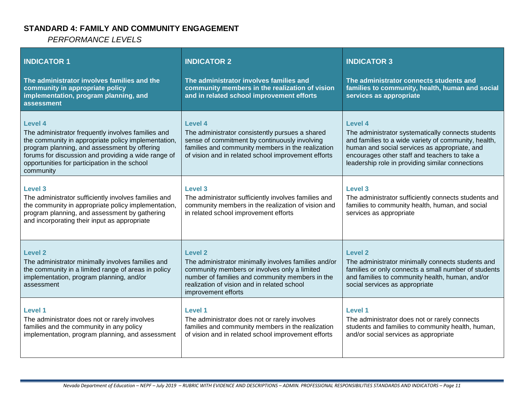## **STANDARD 4: FAMILY AND COMMUNITY ENGAGEMENT**

*PERFORMANCE LEVELS*

| <b>INDICATOR 1</b><br>The administrator involves families and the<br>community in appropriate policy<br>implementation, program planning, and<br>assessment                                                                                                                                      | <b>INDICATOR 2</b><br>The administrator involves families and<br>community members in the realization of vision<br>and in related school improvement efforts                                                                             | <b>INDICATOR 3</b><br>The administrator connects students and<br>families to community, health, human and social<br>services as appropriate                                                                                                                                 |
|--------------------------------------------------------------------------------------------------------------------------------------------------------------------------------------------------------------------------------------------------------------------------------------------------|------------------------------------------------------------------------------------------------------------------------------------------------------------------------------------------------------------------------------------------|-----------------------------------------------------------------------------------------------------------------------------------------------------------------------------------------------------------------------------------------------------------------------------|
| <b>Level 4</b><br>The administrator frequently involves families and<br>the community in appropriate policy implementation,<br>program planning, and assessment by offering<br>forums for discussion and providing a wide range of<br>opportunities for participation in the school<br>community | Level 4<br>The administrator consistently pursues a shared<br>sense of commitment by continuously involving<br>families and community members in the realization<br>of vision and in related school improvement efforts                  | Level 4<br>The administrator systematically connects students<br>and families to a wide variety of community, health,<br>human and social services as appropriate, and<br>encourages other staff and teachers to take a<br>leadership role in providing similar connections |
| <b>Level 3</b><br>The administrator sufficiently involves families and<br>the community in appropriate policy implementation,<br>program planning, and assessment by gathering<br>and incorporating their input as appropriate                                                                   | Level 3<br>The administrator sufficiently involves families and<br>community members in the realization of vision and<br>in related school improvement efforts                                                                           | Level 3<br>The administrator sufficiently connects students and<br>families to community health, human, and social<br>services as appropriate                                                                                                                               |
| Level 2<br>The administrator minimally involves families and<br>the community in a limited range of areas in policy<br>implementation, program planning, and/or<br>assessment                                                                                                                    | Level 2<br>The administrator minimally involves families and/or<br>community members or involves only a limited<br>number of families and community members in the<br>realization of vision and in related school<br>improvement efforts | <b>Level 2</b><br>The administrator minimally connects students and<br>families or only connects a small number of students<br>and families to community health, human, and/or<br>social services as appropriate                                                            |
| <b>Level 1</b><br>The administrator does not or rarely involves<br>families and the community in any policy<br>implementation, program planning, and assessment                                                                                                                                  | <b>Level 1</b><br>The administrator does not or rarely involves<br>families and community members in the realization<br>of vision and in related school improvement efforts                                                              | Level 1<br>The administrator does not or rarely connects<br>students and families to community health, human,<br>and/or social services as appropriate                                                                                                                      |